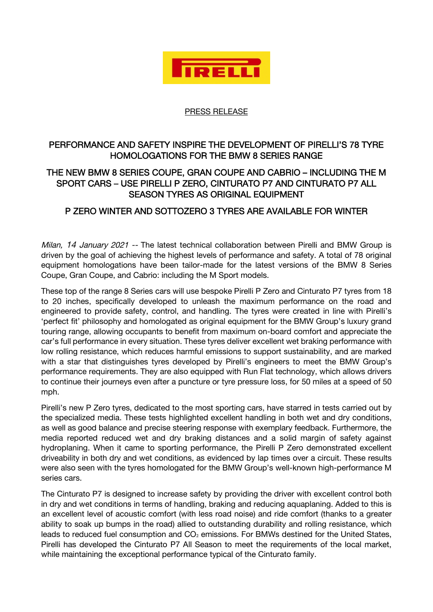

## PRESS RELEASE

## PERFORMANCE AND SAFETY INSPIRE THE DEVELOPMENT OF PIRELLI'S 78 TYRE HOMOLOGATIONS FOR THE BMW 8 SERIES RANGE

## THE NEW BMW 8 SERIES COUPE, GRAN COUPE AND CABRIO – INCLUDING THE M SPORT CARS – USE PIRELLI P ZERO, CINTURATO P7 AND CINTURATO P7 ALL SEASON TYRES AS ORIGINAL EQUIPMENT

## P ZERO WINTER AND SOTTOZERO 3 TYRES ARE AVAILABLE FOR WINTER

Milan, 14 January 2021 -- The latest technical collaboration between Pirelli and BMW Group is driven by the goal of achieving the highest levels of performance and safety. A total of 78 original equipment homologations have been tailor-made for the latest versions of the BMW 8 Series Coupe, Gran Coupe, and Cabrio: including the M Sport models.

These top of the range 8 Series cars will use bespoke Pirelli P Zero and Cinturato P7 tyres from 18 to 20 inches, specifically developed to unleash the maximum performance on the road and engineered to provide safety, control, and handling. The tyres were created in line with Pirelli's 'perfect fit' philosophy and homologated as original equipment for the BMW Group's luxury grand touring range, allowing occupants to benefit from maximum on-board comfort and appreciate the car's full performance in every situation. These tyres deliver excellent wet braking performance with low rolling resistance, which reduces harmful emissions to support sustainability, and are marked with a star that distinguishes tyres developed by Pirelli's engineers to meet the BMW Group's performance requirements. They are also equipped with Run Flat technology, which allows drivers to continue their journeys even after a puncture or tyre pressure loss, for 50 miles at a speed of 50 mph.

Pirelli's new P Zero tyres, dedicated to the most sporting cars, have starred in tests carried out by the specialized media. These tests highlighted excellent handling in both wet and dry conditions, as well as good balance and precise steering response with exemplary feedback. Furthermore, the media reported reduced wet and dry braking distances and a solid margin of safety against hydroplaning. When it came to sporting performance, the Pirelli P Zero demonstrated excellent driveability in both dry and wet conditions, as evidenced by lap times over a circuit. These results were also seen with the tyres homologated for the BMW Group's well-known high-performance M series cars.

The Cinturato P7 is designed to increase safety by providing the driver with excellent control both in dry and wet conditions in terms of handling, braking and reducing aquaplaning. Added to this is an excellent level of acoustic comfort (with less road noise) and ride comfort (thanks to a greater ability to soak up bumps in the road) allied to outstanding durability and rolling resistance, which leads to reduced fuel consumption and CO<sub>2</sub> emissions. For BMWs destined for the United States, Pirelli has developed the Cinturato P7 All Season to meet the requirements of the local market, while maintaining the exceptional performance typical of the Cinturato family.